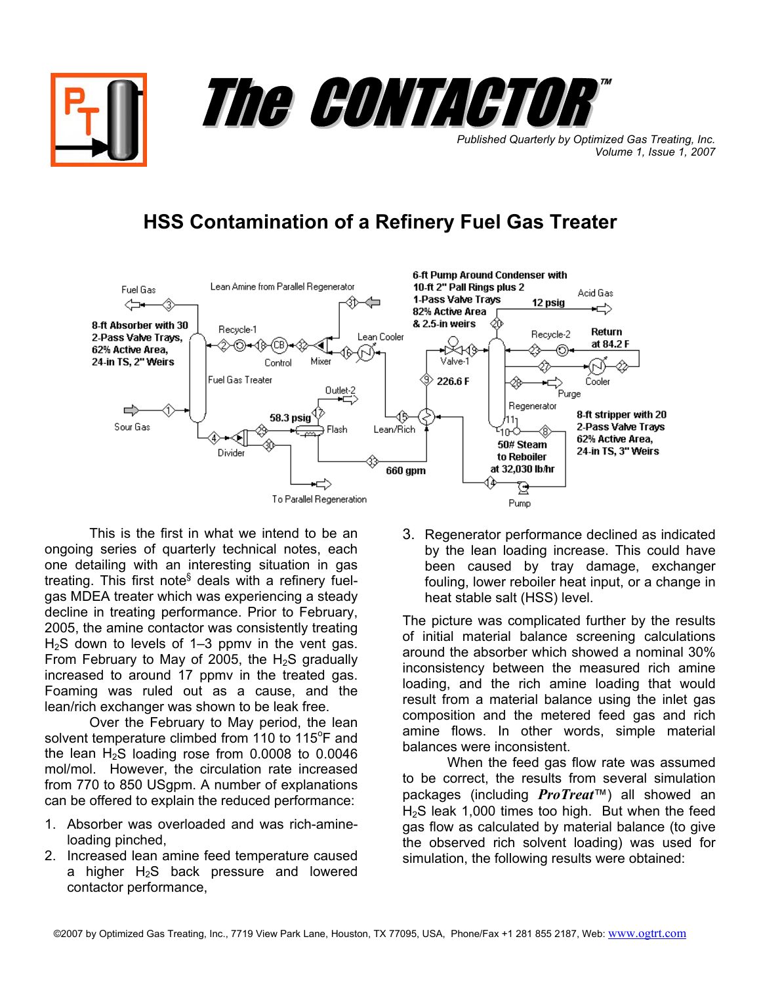*Published Quarterly by Optimized Gas Treating, Inc. Volume 1, Issue 1, 2007*

™

## **HSS Contamination of a Refinery Fuel Gas Treater**

The CONTACTOR



This is the first in what we intend to be an ongoing series of quarterly technical notes, each one detailing with an interesting situation in gas treating. This first note<sup>§</sup> deals with a refinery fuelgas MDEA treater which was experiencing a steady decline in treating performance. Prior to February, 2005, the amine contactor was consistently treating  $H<sub>2</sub>S$  down to levels of 1–3 ppmv in the vent gas. From February to May of 2005, the  $H_2S$  gradually increased to around 17 ppmv in the treated gas. Foaming was ruled out as a cause, and the lean/rich exchanger was shown to be leak free.

Over the February to May period, the lean solvent temperature climbed from 110 to 115 $\mathrm{^{\circ}F}$  and the lean  $H_2S$  loading rose from 0.0008 to 0.0046 mol/mol. However, the circulation rate increased from 770 to 850 USgpm. A number of explanations can be offered to explain the reduced performance:

- 1. Absorber was overloaded and was rich-amineloading pinched,
- 2. Increased lean amine feed temperature caused a higher  $H_2S$  back pressure and lowered contactor performance,

3. Regenerator performance declined as indicated by the lean loading increase. This could have been caused by tray damage, exchanger fouling, lower reboiler heat input, or a change in heat stable salt (HSS) level.

The picture was complicated further by the results of initial material balance screening calculations around the absorber which showed a nominal 30% inconsistency between the measured rich amine loading, and the rich amine loading that would result from a material balance using the inlet gas composition and the metered feed gas and rich amine flows. In other words, simple material balances were inconsistent.

When the feed gas flow rate was assumed to be correct, the results from several simulation packages (including *ProTreat*™) all showed an H2S leak 1,000 times too high. But when the feed gas flow as calculated by material balance (to give the observed rich solvent loading) was used for simulation, the following results were obtained: